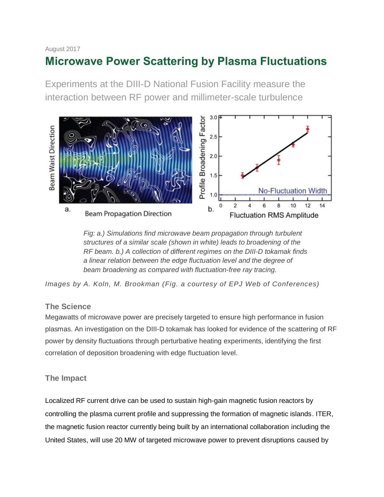#### August 2017

# **Microwave Power Scattering by Plasma Fluctuations**

Experiments at the DIII-D National Fusion Facility measure the interaction between RF power and millimeter-scale turbulence



*Fig: a.) Simulations find microwave beam propagation through turbulent structures of a similar scale (shown in white) leads to broadening of the RF beam. b.) A collection of different regimes on the DIII-D tokamak finds a linear relation between the edge fluctuation level and the degree of beam broadening as compared with fluctuation-free ray tracing.* 

*Images by A. Koln, M. Brookman (Fig. a courtesy of EPJ Web of Conferences)*

# **The Science**

Megawatts of microwave power are precisely targeted to ensure high performance in fusion plasmas. An investigation on the DIII-D tokamak has looked for evidence of the scattering of RF power by density fluctuations through perturbative heating experiments, identifying the first correlation of deposition broadening with edge fluctuation level.

# **The Impact**

Localized RF current drive can be used to sustain high-gain magnetic fusion reactors by controlling the plasma current profile and suppressing the formation of magnetic islands. ITER, the magnetic fusion reactor currently being built by an international collaboration including the United States, will use 20 MW of targeted microwave power to prevent disruptions caused by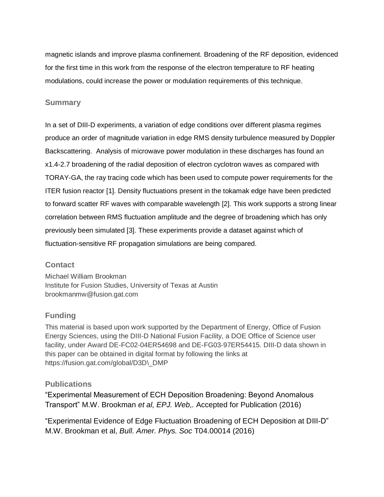magnetic islands and improve plasma confinement. Broadening of the RF deposition, evidenced for the first time in this work from the response of the electron temperature to RF heating modulations, could increase the power or modulation requirements of this technique.

#### **Summary**

In a set of DIII-D experiments, a variation of edge conditions over different plasma regimes produce an order of magnitude variation in edge RMS density turbulence measured by Doppler Backscattering. Analysis of microwave power modulation in these discharges has found an x1.4-2.7 broadening of the radial deposition of electron cyclotron waves as compared with TORAY-GA, the ray tracing code which has been used to compute power requirements for the ITER fusion reactor [1]. Density fluctuations present in the tokamak edge have been predicted to forward scatter RF waves with comparable wavelength [2]. This work supports a strong linear correlation between RMS fluctuation amplitude and the degree of broadening which has only previously been simulated [3]. These experiments provide a dataset against which of fluctuation-sensitive RF propagation simulations are being compared.

# **Contact**

Michael William Brookman Institute for Fusion Studies, University of Texas at Austin brookmanmw@fusion.gat.com

# **Funding**

This material is based upon work supported by the Department of Energy, Office of Fusion Energy Sciences, using the DIII-D National Fusion Facility, a DOE Office of Science user facility, under Award DE-FC02-04ER54698 and DE-FG03-97ER54415. DIII-D data shown in this paper can be obtained in digital format by following the links at https://fusion.gat.com/global/D3D\\_DMP

#### **Publications**

"Experimental Measurement of ECH Deposition Broadening: Beyond Anomalous Transport" M.W. Brookman *et al, EPJ. Web,.* Accepted for Publication (2016)

"Experimental Evidence of Edge Fluctuation Broadening of ECH Deposition at DIII-D" M.W. Brookman et al, *Bull. Amer. Phys. Soc* T04.00014 (2016)